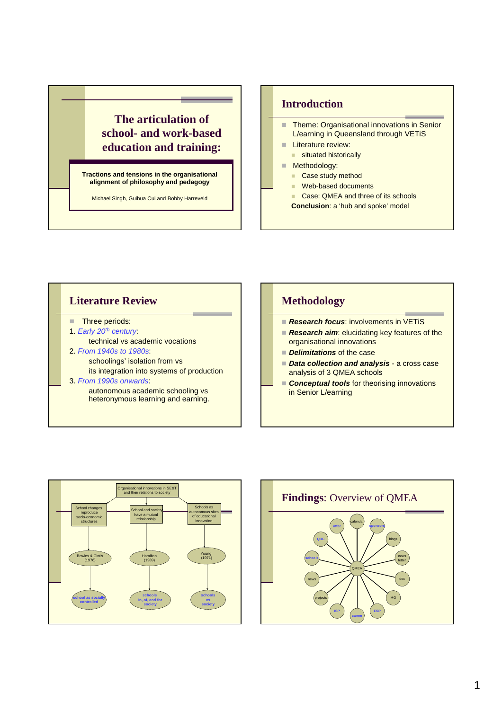

## **Introduction**

- Theme: Organisational innovations in Senior L/earning in Queensland through VETiS
- **Literature review:** 
	- situated historically
- **Methodology:** 
	- Case study method
	- Web-based documents
	- Case: QMEA and three of its schools
	- **Conclusion**: a 'hub and spoke' model